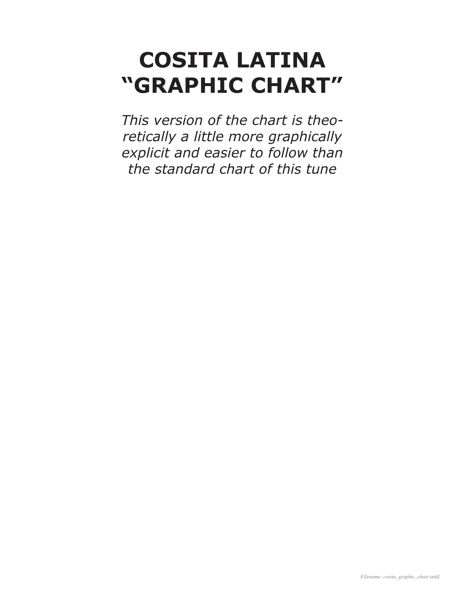# **COSITA LATINA "GRAPHIC CHART"**

*This version of the chart is theoretically a little more graphically explicit and easier to follow than the standard chart of this tune*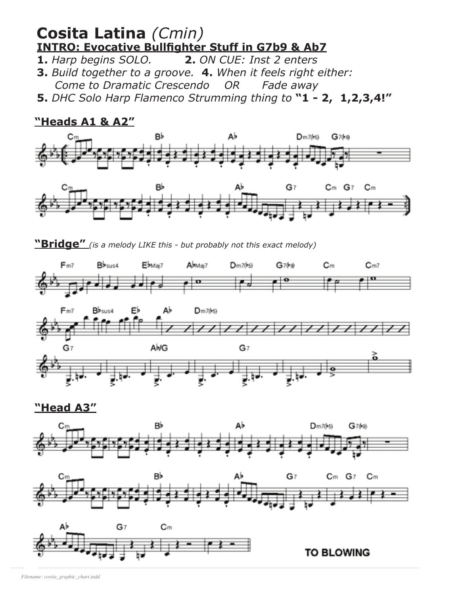# **Cosita Latina** *(Cmin)* **INTRO: Evocative Bullfighter Stuff in G7b9 & Ab7**<br>**1.** Harp begins SOLO. **2.** ON CUE: Inst 2 enters

**1.** *Harp begins SOLO.* **2.** *ON CUE: Inst 2 enters*

- **3.** *Build together to a groove.* **4.** *When it feels right either:* *Come to Dramatic Crescendo OR Fade away*
- **5.** *DHC Solo Harp Flamenco Strumming thing to* **"1 2, 1,2,3,4!"**

#### **"Heads A1 & A2"**



**"Bridge"** *(is a melody LIKE this - but probably not this exact melody)*





**"Head A3"**